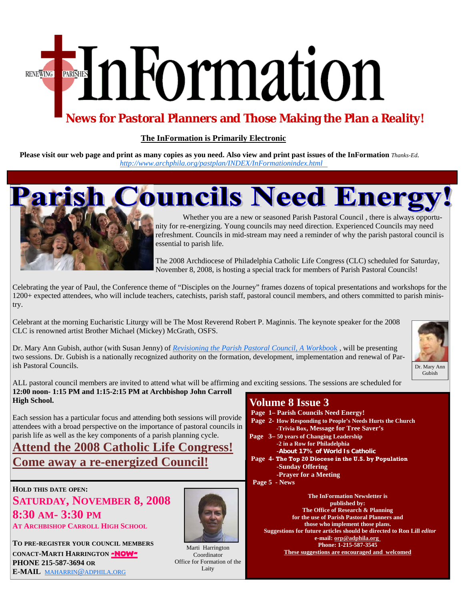# EmFormation **RENEWING**

## **News for Pastoral Planners and Those Making the Plan a Reality!**

#### **The InFormation is Primarily Electronic**

**Please visit our web page and print as many copies as you need. Also view and print past issues of the InFormation** *Thanks-Ed. [http://www.archphila.org/pastplan/](http://archphila.org/pastplan/INDEX/InFormationindex.html)INDEX/InFormationindex.html*



**Parish Councils Need Energ** 

 Whether you are a new or seasoned Parish Pastoral Council , there is always opportunity for re-energizing. Young councils may need direction. Experienced Councils may need refreshment. Councils in mid-stream may need a reminder of why the parish pastoral council is essential to parish life.

The 2008 Archdiocese of Philadelphia Catholic Life Congress (CLC) scheduled for Saturday, November 8, 2008, is hosting a special track for members of Parish Pastoral Councils!

Celebrating the year of Paul, the Conference theme of "Disciples on the Journey" frames dozens of topical presentations and workshops for the 1200+ expected attendees, who will include teachers, catechists, parish staff, pastoral council members, and others committed to parish ministry.

Celebrant at the morning Eucharistic Liturgy will be The Most Reverend Robert P. Maginnis. The keynote speaker for the 2008 CLC is renowned artist Brother Michael (Mickey) McGrath, OSFS.

Dr. Mary Ann Gubish, author (with Susan Jenny) of *Revisioning the Parish Pastoral Council, A Workbo*ok , will be presenting two sessions. Dr. Gubish is a nationally recognized authority on the formation, development, implementation and renewal of Parish Pastoral Councils.



ALL pastoral council members are invited to attend what will be affirming and exciting sessions. The sessions are scheduled for **12:00 noon- 1:15 PM and 1:15-2:15 PM at Archbishop John Carroll** 

**High School.**  Each session has a particular focus and attending both sessions will provide attendees with a broad perspective on the importance of pastoral councils in

#### parish life as well as the key components of a parish planning cycle. **Attend the 2008 Catholic Life Congress! Come away a re-energized Council!**

**HOLD THIS DATE OPEN: SATURDAY, NOVEMBER 8, 2008 8:30 AM- 3:30 PM AT ARCHBISHOP CARROLL HIGH SCHOOL**

**TO PRE-REGISTER YOUR COUNCIL MEMBERS CONACT-MARTI HARRINGTON -NOW-PHONE 215-587-3694 OR E-MAIL** MAHARRIN@ADPHILA.ORG



Coordinator Office for Formation of the Laity

#### **Volume 8 Issue 3**

- **Page 1– Parish Councils Need Energy!**
- **Page 2- How Responding to People's Needs Hurts the Church -Trivia Box, Message for Tree Saver's**
- **Page 3– 50 years of Changing Leadership -2 in a Row for Philadelphia -About 17% of World Is Catholic**
- **Page 4- The Top 20 Diocese in the U.S. by Population -Sunday Offering -Prayer for a Meeting**
- **Page 5 News**

**The InFormation Newsletter is published by: The Office of Research & Planning for the use of Parish Pastoral Planners and those who implement those plans. Suggestions for future articles should be directed to Ron Lill** *editor*  **e-mail: orp@adphila.org Phone: 1-215-587-3545 These suggestions are encouraged and welcomed** <br>Coordinates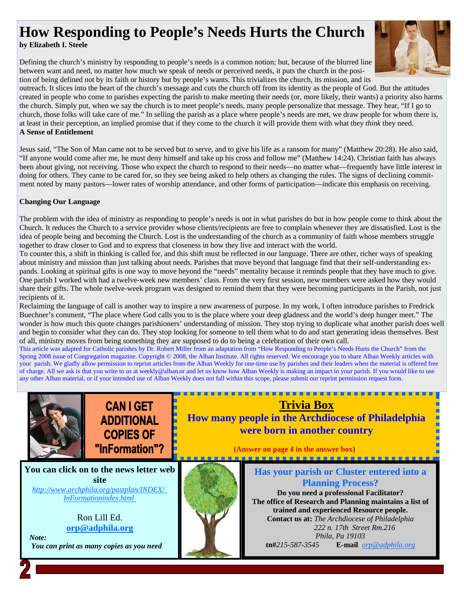# **How Responding to People's Needs Hurts the Church**

**by Elizabeth I. Steele**

Defining the church's ministry by responding to people's needs is a common notion; but, because of the blurred line between want and need, no matter how much we speak of needs or perceived needs, it puts the church in the position of being defined not by its faith or history but by people's wants. This trivializes the church, its mission, and its



tion of being defined not by its faith or history but by people's wants. This trivializes the church, its mission, and its<br>outreach. It slices into the heart of the church's message and cuts the church off from its identit created in people who come to parishes expecting the parish to make meeting their needs (or, more likely, their wants) a priority also harms the church. Simply put, when we say the church is to meet people's needs, many people personalize that message. They hear, "If I go to church, those folks will take care of me." In selling the parish as a place where people's needs are met, we draw people for whom there is, at least in their perception, an implied promise that if they come to the church it will provide them with what they *think* they need. **A Sense of Entitlement**

Jesus said, "The Son of Man came not to be served but to serve, and to give his life as a ransom for many" (Matthew 20:28). He also said, "If anyone would come after me, he must deny himself and take up his cross and follow me" (Matthew 14:24). Christian faith has always been about giving, not receiving. Those who expect the church to respond to their needs—no matter what—frequently have little interest in doing for others. They came to be cared for, so they see being asked to help others as changing the rules. The signs of declining commitment noted by many pastors—lower rates of worship attendance, and other forms of participation—indicate this emphasis on receiving.

#### **Changing Our Language**

The problem with the idea of ministry as responding to people's needs is not in what parishes do but in how people come to think about the Church. It reduces the Church to a service provider whose clients/recipients are free to complain whenever they are dissatisfied. Lost is the idea of people being and becoming the Church. Lost is the understanding of the church as a community of faith whose members struggle together to draw closer to God and to express that closeness in how they live and interact with the world.

To counter this, a shift in thinking is called for, and this shift must be reflected in our language. There are other, richer ways of speaking about ministry and mission than just talking about needs. Parishes that move beyond that language find that their self-understanding expands. Looking at spiritual gifts is one way to move beyond the "needs" mentality because it reminds people that they have much to give. One parish I worked with had a twelve-week new members' class. From the very first session, new members were asked how they would share their gifts. The whole twelve-week program was designed to remind them that they were becoming participants in the Parish, not just recipients of it.

Reclaiming the language of call is another way to inspire a new awareness of purpose. In my work, I often introduce parishes to Fredrick Buechner's comment, "The place where God calls you to is the place where your deep gladness and the world's deep hunger meet." The wonder is how much this quote changes parishioners' understanding of mission. They stop trying to duplicate what another parish does well and begin to consider what they can do. They stop looking for someone to tell them what to do and start generating ideas themselves. Best of all, ministry moves from being something they are supposed to do to being a celebration of their own call.

This article was adapted for Catholic parishes by Dr. Robert Miller from an adaptation from "How Responding to People's Needs Hurts the Church" from the Spring 2008 issue of Congregation magazine. Copyright © 2008, the Alban Institute. All rights reserved. We encourage you to share Alban Weekly articles with your parish. We gladly allow permission to reprint articles from the Alban Weekly for one-time use by parishes and their leaders when the material is offered free of charge. All we ask is that you write to us at weekly@alban.or and let us know how Alban Weekly is making an impact in your parish. If you would like to use any other Alban material, or if your intended use of Alban Weekly does not fall within this scope, please submit our reprint permission request form.



**CAN I GET ADDITIONAL COPIES OF** "InFormation"?

**You can click on to the news letter web site**  *[http://www.archphila.org/pastplan/](http://archphila.org/pastplan/INDEX/InFormationindex.html)INDEX/ InFormationindex.html*

> Ron Lill Ed. **orp@adphila.org**

 *Note: You can print as many copies as you need* 



**Trivia Box How many people in the Archdiocese of Philadelphia were born in another country** 

 **(Answer on page 4 in the answer box)**  

**Has your parish or Cluster entered into a Planning Process? Do you need a professional Facilitator? The office of Research and Planning maintains a list of trained and experienced Resource people. Contact us at:** *The Archdiocese of Philadelphia 222 n. 17th Street Rm.216 Phila, Pa 19103*  **tn#***215-587-3545* **E-mail** *orp@adphila.org*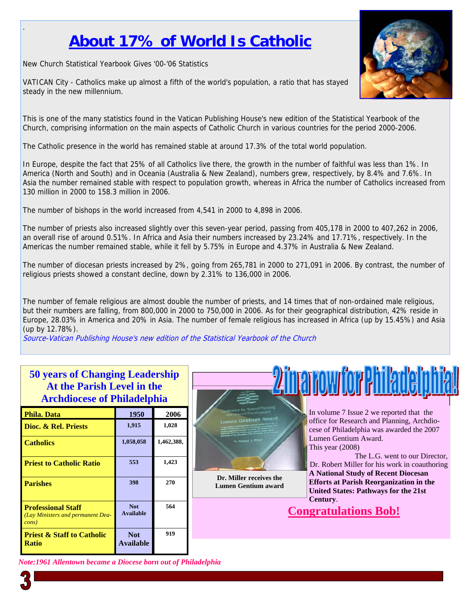# **About 17% of World Is Catholic**

New Church Statistical Yearbook Gives '00-'06 Statistics

.

VATICAN City - Catholics make up almost a fifth of the world's population, a ratio that has stayed steady in the new millennium.

This is one of the many statistics found in the Vatican Publishing House's new edition of the Statistical Yearbook of the Church, comprising information on the main aspects of Catholic Church in various countries for the period 2000-2006.

The Catholic presence in the world has remained stable at around 17.3% of the total world population.

In Europe, despite the fact that 25% of all Catholics live there, the growth in the number of faithful was less than 1%. In America (North and South) and in Oceania (Australia & New Zealand), numbers grew, respectively, by 8.4% and 7.6%. In Asia the number remained stable with respect to population growth, whereas in Africa the number of Catholics increased from 130 million in 2000 to 158.3 million in 2006.

The number of bishops in the world increased from 4,541 in 2000 to 4,898 in 2006.

The number of priests also increased slightly over this seven-year period, passing from 405,178 in 2000 to 407,262 in 2006, an overall rise of around 0.51%. In Africa and Asia their numbers increased by 23.24% and 17.71%, respectively. In the Americas the number remained stable, while it fell by 5.75% in Europe and 4.37% in Australia & New Zealand.

The number of diocesan priests increased by 2%, going from 265,781 in 2000 to 271,091 in 2006. By contrast, the number of religious priests showed a constant decline, down by 2.31% to 136,000 in 2006.

The number of female religious are almost double the number of priests, and 14 times that of non-ordained male religious, but their numbers are falling, from 800,000 in 2000 to 750,000 in 2006. As for their geographical distribution, 42% reside in Europe, 28.03% in America and 20% in Asia. The number of female religious has increased in Africa (up by 15.45%) and Asia (up by 12.78%).

**ALL** 

Source-Vatican Publishing House's new edition of the Statistical Yearbook of the Church

| <b>SU years of Unanging Leadership</b><br>At the Parish Level in the<br><b>Archdiocese of Philadelphia</b> |                                |            |                                                                                                                                                        |  |  |
|------------------------------------------------------------------------------------------------------------|--------------------------------|------------|--------------------------------------------------------------------------------------------------------------------------------------------------------|--|--|
| <b>Phila. Data</b>                                                                                         | 1950                           | 2006       | <b>Conference for Pastoral Planning</b><br>In volume 7 Issue 2 we reported that the<br>and Council Development<br><b>Lumen Gentlum Award</b>           |  |  |
| Dioc. & Rel. Priests                                                                                       | 1,915                          | 1,028      | office for Research and Planning, Archdio-<br>cese of Philadelphia was awarded the 2007<br>utterfew and creethitty information                         |  |  |
| <b>Catholics</b>                                                                                           | 1,058,058                      | 1,462,388, | Lumen Gentium Award.<br>Dr. Robert J. Miller<br>This year $(2008)$<br>The L.G. went to our Director.                                                   |  |  |
| <b>Priest to Catholic Ratio</b>                                                                            | 553                            | 1,423      | Dr. Robert Miller for his work in coauthoring<br><b>A National Study of Recent Diocesan</b>                                                            |  |  |
| <b>Parishes</b>                                                                                            | 398                            | 270        | Dr. Miller receives the<br><b>Efforts at Parish Reorganization in the</b><br><b>Lumen Gentium award</b><br><b>United States: Pathways for the 21st</b> |  |  |
| <b>Professional Staff</b><br>(Lay Ministers and permanent Dea-<br>cons)                                    | <b>Not</b><br><b>Available</b> | 564        | Century.<br><b>Congratulations Bob!</b>                                                                                                                |  |  |
| <b>Priest &amp; Staff to Catholic</b><br><b>Ratio</b>                                                      | <b>Not</b><br><b>Available</b> | 919        |                                                                                                                                                        |  |  |

**50 years of Changing Leadership** 

*Note:1961 Allentown became a Diocese born out of Philadelphia* 

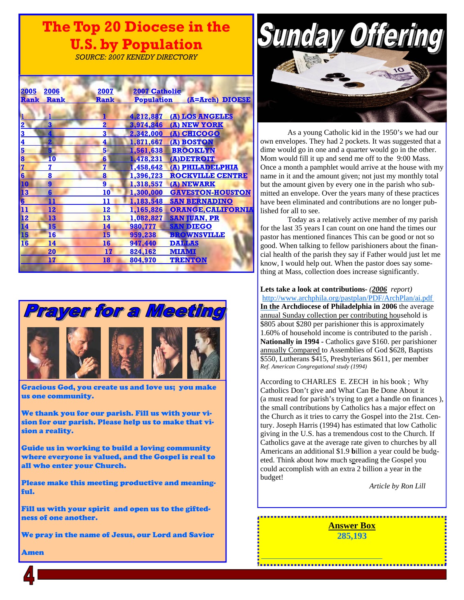# **The Top 20 Diocese in the U.S. by Population**

*SOURCE: 2007 KENEDY DIRECTORY* 

| 2006<br>2005    | 2007                       |                  | <b>2007 Catholic</b>                 |
|-----------------|----------------------------|------------------|--------------------------------------|
| Rank            | <b>Rank</b><br><b>Rank</b> |                  | (A=Arch) DIOESE<br><b>Population</b> |
|                 |                            |                  |                                      |
|                 |                            | 4,212,887        | (A) LOS ANGELES                      |
| 3<br>2          | $\overline{\mathbf{2}}$    | 3,974,846        | (A) NEW YORK                         |
| 3               | 3                          | 2,342,000        | (A) CHICOGO                          |
| 4               | 4                          |                  | <u>1,871,667 (A) BOSTON</u>          |
| 5               | 5                          | 1,561,638        | <b>BROOKLYN</b>                      |
| 8<br>T0         | $6\phantom{a}$             | 1,478,231        | (A)DETROIT                           |
| 7<br>7          | $\overline{\mathbf{z}}$    | 1,458,642        | (A) PHILADELPHIA                     |
| 6<br>8          | 8                          | 1,396,723        | <b>ROCKVILLE CENTRE</b>              |
| 10<br>9         | 9                          | 1,318,557        | (A) NEWARK                           |
| 13<br>6         | 10                         | 1,300,000        | <b>GAVESTON-HOUSTON</b>              |
| 11<br>6         | 11                         | 1,183,548        | <b>SAN BERNADINO</b>                 |
| 11<br>12        | 12                         | 1,165,826        | <b>ORANGE, CALIFORNIA</b>            |
| <u>12</u><br>13 | 13                         | <u>1,082,827</u> | <b>SAN JUAN, PR</b>                  |
| 14<br>15        | 14                         | 980,777          | <b>SAN DIEGO</b>                     |
| 15<br>16        | 15                         | 959,238          | <b>BROWNSVILLE</b>                   |
| 16<br>14        | 16                         | 947,440          | <b>DAILAS</b>                        |
| 20              |                            | 17<br>824,162    | <b>MIAMI</b>                         |
| 17              | 18                         | 804,970          | <b>TRENTON</b>                       |



Gracious God, you create us and love us; you make us one community.

We thank you for our parish. Fill us with your vision for our parish. Please help us to make that vision a reality.

Guide us in working to build a loving community where everyone is valued, and the Gospel is real to all who enter your Church.

Please make this meeting productive and meaningful.

Fill us with your spirit and open us to the giftedness of one another.

We pray in the name of Jesus, our Lord and Savior



 As a young Catholic kid in the 1950's we had our own envelopes. They had 2 pockets. It was suggested that a dime would go in one and a quarter would go in the other. Mom would fill it up and send me off to the 9:00 Mass. Once a month a pamphlet would arrive at the house with my name in it and the amount given; not just my monthly total but the amount given by every one in the parish who submitted an envelope. Over the years many of these practices have been eliminated and contributions are no longer published for all to see.

 Today as a relatively active member of my parish for the last 35 years I can count on one hand the times our pastor has mentioned finances This can be good or not so good. When talking to fellow parishioners about the financial health of the parish they say if Father would just let me know, I would help out. When the pastor does say something at Mass, collection does increase significantly.

**Lets take a look at contributions-** *(2006 report)*  http://www.[archphila.org/pastplan/](http://archphila.org/pastplan/PDF/ArchPlan/ai.pdf)PDF/ArchPlan/ai.pdf **In the Archdiocese of Philadelphia in 2006** the average annual Sunday collection per contributing household is \$805 about \$280 per parishioner this is approximately 1.60% of household income is contributed to the parish . **Nationally in 1994 -** Catholics gave \$160. per parishioner annually Compared to Assemblies of God \$628, Baptists \$550, Lutherans \$415, Presbyterians \$611, per member *Ref. American Congregational study (1994)* 

According to CHARLES E. ZECH in his book ; Why Catholics Don't give and What Can Be Done About it (a must read for parish's trying to get a handle on finances ), the small contributions by Catholics has a major effect on the Church as it tries to carry the Gospel into the 21st. Century. Joseph Harris (1994) has estimated that low Catholic giving in the U.S. has a tremendous cost to the Church. If Catholics gave at the average rate given to churches by all Americans an additional \$1.9 **b**illion a year could be budgeted. Think about how much spreading the Gospel you could accomplish with an extra 2 billion a year in the budget!

*Article by Ron Lill* 

**Answer Box 285,193** 

Amen